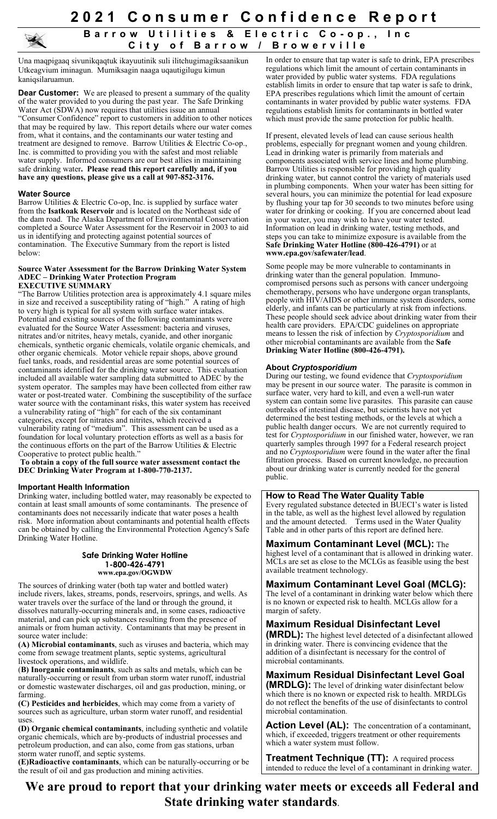**2 0 2 1 Consumer Confidence Report**

# **Barrow Utilities & Electric Co - op., Inc City of Barrow / Browerville**

Una maqpigaaq sivunikqaqtuk ikayuutinik suli ilitchugimagiksaanikun Utkeagvium iminagun. Mumiksagin naaga uqautigilugu kimun kaniqsilaruamun.

**Dear Customer:** We are pleased to present a summary of the quality of the water provided to you during the past year. The Safe Drinking Water Act (SDWA) now requires that utilities issue an annual "Consumer Confidence" report to customers in addition to other notices that may be required by law. This report details where our water comes from, what it contains, and the contaminants our water testing and treatment are designed to remove. Barrow Utilities & Electric Co-op., Inc. is committed to providing you with the safest and most reliable water supply. Informed consumers are our best allies in maintaining safe drinking water**. Please read this report carefully and, if you have any questions, please give us a call at 907-852-3176.**

#### **Water Source**

Barrow Utilities & Electric Co-op, Inc. is supplied by surface water from the **Isatkoak Reservoir** and is located on the Northeast side of the dam road. The Alaska Department of Environmental Conservation completed a Source Water Assessment for the Reservoir in 2003 to aid us in identifying and protecting against potential sources of contamination. The Executive Summary from the report is listed below:

#### **Source Water Assessment for the Barrow Drinking Water System ADEC – Drinking Water Protection Program EXECUTIVE SUMMARY**

"The Barrow Utilities protection area is approximately 4.1 square miles in size and received a susceptibility rating of "high." A rating of high to very high is typical for all system with surface water intakes. Potential and existing sources of the following contaminants were evaluated for the Source Water Assessment: bacteria and viruses, nitrates and/or nitrites, heavy metals, cyanide, and other inorganic chemicals, synthetic organic chemicals, volatile organic chemicals, and other organic chemicals. Motor vehicle repair shops, above ground fuel tanks, roads, and residential areas are some potential sources of contaminants identified for the drinking water source. This evaluation included all available water sampling data submitted to ADEC by the system operator. The samples may have been collected from either raw water or post-treated water. Combining the susceptibility of the surface water source with the contaminant risks, this water system has received a vulnerability rating of "high" for each of the six contaminant categories, except for nitrates and nitrites, which received a vulnerability rating of "medium". This assessment can be used as a foundation for local voluntary protection efforts as well as a basis for the continuous efforts on the part of the Barrow Utilities  $&$  Electric Cooperative to protect public health."

**To obtain a copy of the full source water assessment contact the DEC Drinking Water Program at 1-800-770-2137.**

### **Important Health Information**

Drinking water, including bottled water, may reasonably be expected to contain at least small amounts of some contaminants. The presence of contaminants does not necessarily indicate that water poses a health risk. More information about contaminants and potential health effects can be obtained by calling the Environmental Protection Agency's Safe Drinking Water Hotline.

#### **Safe Drinking Water Hotline 1-800-426-4791 www.epa.gov/OGWDW**

The sources of drinking water (both tap water and bottled water) include rivers, lakes, streams, ponds, reservoirs, springs, and wells. As water travels over the surface of the land or through the ground, it dissolves naturally-occurring minerals and, in some cases, radioactive material, and can pick up substances resulting from the presence of animals or from human activity. Contaminants that may be present in source water include:

**(A) Microbial contaminants**, such as viruses and bacteria, which may come from sewage treatment plants, septic systems, agricultural livestock operations, and wildlife.

(**B) Inorganic contaminants**, such as salts and metals, which can be naturally-occurring or result from urban storm water runoff, industrial or domestic wastewater discharges, oil and gas production, mining, or farming.

**(C) Pesticides and herbicides**, which may come from a variety of sources such as agriculture, urban storm water runoff, and residential uses.

**(D) Organic chemical contaminants**, including synthetic and volatile organic chemicals, which are by-products of industrial processes and petroleum production, and can also, come from gas stations, urban storm water runoff, and septic systems.

**(E)Radioactive contaminants**, which can be naturally-occurring or be the result of oil and gas production and mining activities.

In order to ensure that tap water is safe to drink, EPA prescribes regulations which limit the amount of certain contaminants in water provided by public water systems. FDA regulations establish limits in order to ensure that tap water is safe to drink, EPA prescribes regulations which limit the amount of certain contaminants in water provided by public water systems. FDA regulations establish limits for contaminants in bottled water which must provide the same protection for public health.

If present, elevated levels of lead can cause serious health problems, especially for pregnant women and young children. Lead in drinking water is primarily from materials and components associated with service lines and home plumbing. Barrow Utilities is responsible for providing high quality drinking water, but cannot control the variety of materials used in plumbing components. When your water has been sitting for several hours, you can minimize the potential for lead exposure by flushing your tap for 30 seconds to two minutes before using water for drinking or cooking. If you are concerned about lead in your water, you may wish to have your water tested. Information on lead in drinking water, testing methods, and steps you can take to minimize exposure is available from the **Safe Drinking Water Hotline (800-426-4791)** or at **www.epa.gov/safewater/lead**.

Some people may be more vulnerable to contaminants in drinking water than the general population. Immunocompromised persons such as persons with cancer undergoing chemotherapy, persons who have undergone organ transplants, people with HIV/AIDS or other immune system disorders, some elderly, and infants can be particularly at risk from infections. These people should seek advice about drinking water from their health care providers. EPA/CDC guidelines on appropriate means to lessen the risk of infection by *Cryptosporidium* and other microbial contaminants are available from the **Safe Drinking Water Hotline (800-426-4791).**

## **About** *Cryptosporidium*

During our testing, we found evidence that *Cryptosporidium* may be present in our source water. The parasite is common in surface water, very hard to kill, and even a well-run water system can contain some live parasites. This parasite can cause outbreaks of intestinal disease, but scientists have not yet determined the best testing methods, or the levels at which a public health danger occurs. We are not currently required to test for *Cryptosporidium* in our finished water, however, we ran quarterly samples through 1997 for a Federal research project and no *Cryptosporidium* were found in the water after the final filtration process. Based on current knowledge, no precaution about our drinking water is currently needed for the general public.

### **How to Read The Water Quality Table**

Every regulated substance detected in BUECI's water is listed in the table, as well as the highest level allowed by regulation and the amount detected. Terms used in the Water Quality Table and in other parts of this report are defined here.

**Maximum Contaminant Level (MCL):** The highest level of a contaminant that is allowed in drinking water. MCLs are set as close to the MCLGs as feasible using the best available treatment technology.

# **Maximum Contaminant Level Goal (MCLG):**

The level of a contaminant in drinking water below which there is no known or expected risk to health. MCLGs allow for a margin of safety.

# **Maximum Residual Disinfectant Level**

**(MRDL):** The highest level detected of a disinfectant allowed in drinking water. There is convincing evidence that the addition of a disinfectant is necessary for the control of microbial contaminants.

**Maximum Residual Disinfectant Level Goal (MRDLG):** The level of drinking water disinfectant below which there is no known or expected risk to health. MRDLGs do not reflect the benefits of the use of disinfectants to control microbial contamination.

**Action Level (AL):** The concentration of a contaminant, which, if exceeded, triggers treatment or other requirements which a water system must follow.

**Treatment Technique (TT):** A required process intended to reduce the level of a contaminant in drinking water.

**We are proud to report that your drinking water meets or exceeds all Federal and State drinking water standards**.